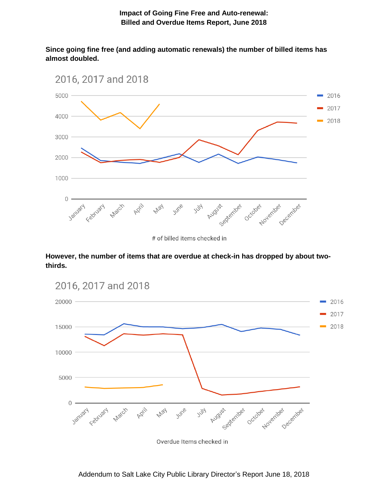**Since going fine free (and adding automatic renewals) the number of billed items has almost doubled.** 



**However, the number of items that are overdue at check-in has dropped by about twothirds.** 



Addendum to Salt Lake City Public Library Director's Report June 18, 2018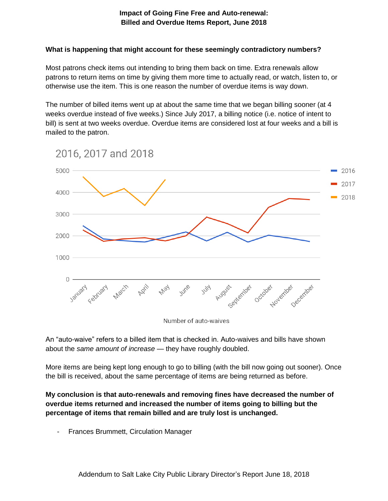## **Impact of Going Fine Free and Auto-renewal: Billed and Overdue Items Report, June 2018**

## **What is happening that might account for these seemingly contradictory numbers?**

Most patrons check items out intending to bring them back on time. Extra renewals allow patrons to return items on time by giving them more time to actually read, or watch, listen to, or otherwise use the item. This is one reason the number of overdue items is way down.

The number of billed items went up at about the same time that we began billing sooner (at 4 weeks overdue instead of five weeks.) Since July 2017, a billing notice (i.e. notice of intent to bill) is sent at two weeks overdue. Overdue items are considered lost at four weeks and a bill is mailed to the patron.



Number of auto-waives

An "auto-waive" refers to a billed item that is checked in. Auto-waives and bills have shown about the *same amount of increase* — they have roughly doubled.

More items are being kept long enough to go to billing (with the bill now going out sooner). Once the bill is received, about the same percentage of items are being returned as before.

**My conclusion is that auto-renewals and removing fines have decreased the number of overdue items returned and increased the number of items going to billing but the percentage of items that remain billed and are truly lost is unchanged.** 

- Frances Brummett, Circulation Manager